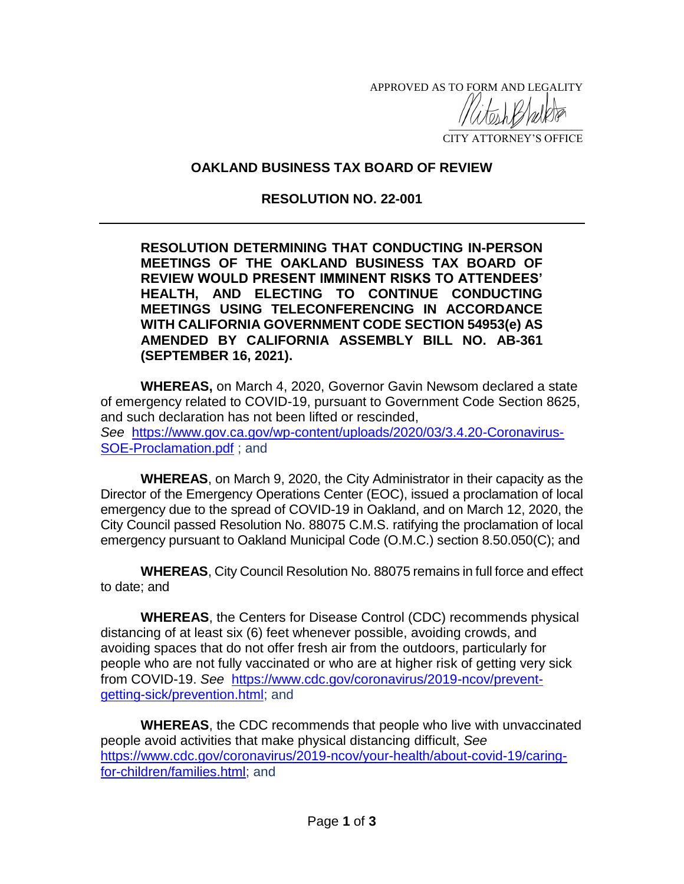APPROVED AS TO FORM AND LEGALITY  $\frac{1}{2}$ 

CITY ATTORNEY'S OFFICE

## **OAKLAND BUSINESS TAX BOARD OF REVIEW**

## **RESOLUTION NO. 22-001**

**RESOLUTION DETERMINING THAT CONDUCTING IN-PERSON MEETINGS OF THE OAKLAND BUSINESS TAX BOARD OF REVIEW WOULD PRESENT IMMINENT RISKS TO ATTENDEES' HEALTH, AND ELECTING TO CONTINUE CONDUCTING MEETINGS USING TELECONFERENCING IN ACCORDANCE WITH CALIFORNIA GOVERNMENT CODE SECTION 54953(e) AS AMENDED BY CALIFORNIA ASSEMBLY BILL NO. AB-361 (SEPTEMBER 16, 2021).**

**WHEREAS,** on March 4, 2020, Governor Gavin Newsom declared a state of emergency related to COVID-19, pursuant to Government Code Section 8625, and such declaration has not been lifted or rescinded, *See* [https://www.gov.ca.gov/wp-content/uploads/2020/03/3.4.20-Coronavirus-](https://www.gov.ca.gov/wp-content/uploads/2020/03/3.4.20-Coronavirus-SOE-Proclamation.pdf)[SOE-Proclamation.pdf](https://www.gov.ca.gov/wp-content/uploads/2020/03/3.4.20-Coronavirus-SOE-Proclamation.pdf) ; and

**WHEREAS**, on March 9, 2020, the City Administrator in their capacity as the Director of the Emergency Operations Center (EOC), issued a proclamation of local emergency due to the spread of COVID-19 in Oakland, and on March 12, 2020, the City Council passed Resolution No. 88075 C.M.S. ratifying the proclamation of local emergency pursuant to Oakland Municipal Code (O.M.C.) section 8.50.050(C); and

**WHEREAS**, City Council Resolution No. 88075 remains in full force and effect to date; and

**WHEREAS**, the Centers for Disease Control (CDC) recommends physical distancing of at least six (6) feet whenever possible, avoiding crowds, and avoiding spaces that do not offer fresh air from the outdoors, particularly for people who are not fully vaccinated or who are at higher risk of getting very sick from COVID-19. *See* [https://www.cdc.gov/coronavirus/2019-ncov/prevent](https://www.cdc.gov/coronavirus/2019-ncov/prevent-getting-sick/prevention.html)[getting-sick/prevention.html;](https://www.cdc.gov/coronavirus/2019-ncov/prevent-getting-sick/prevention.html) and

**WHEREAS**, the CDC recommends that people who live with unvaccinated people avoid activities that make physical distancing difficult, *See* [https://www.cdc.gov/coronavirus/2019-ncov/your-health/about-covid-19/caring](https://www.cdc.gov/coronavirus/2019-ncov/your-health/about-covid-19/caring-for-children/families.html)[for-children/families.html;](https://www.cdc.gov/coronavirus/2019-ncov/your-health/about-covid-19/caring-for-children/families.html) and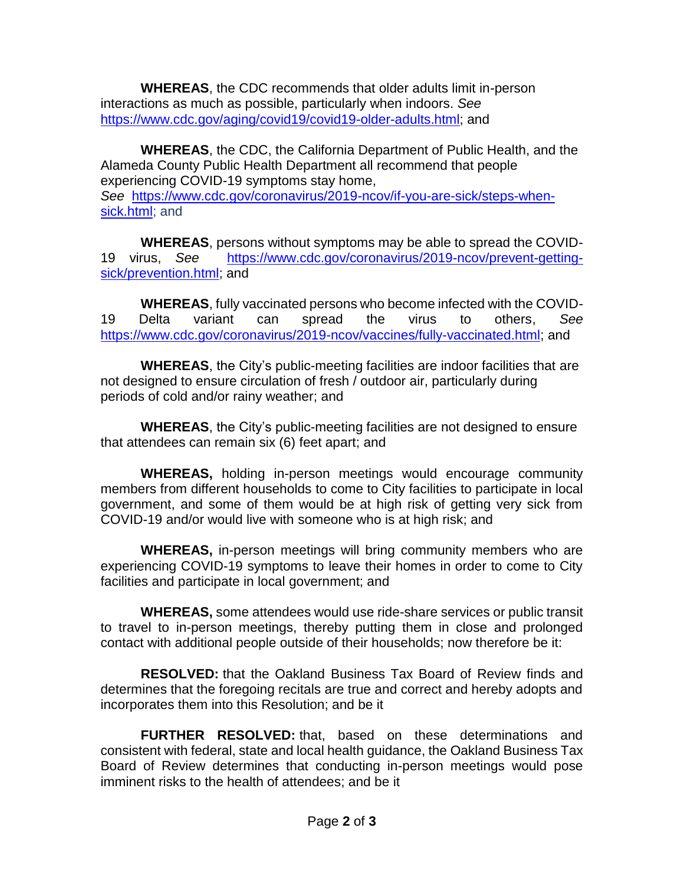**WHEREAS**, the CDC recommends that older adults limit in-person interactions as much as possible, particularly when indoors. *See* [https://www.cdc.gov/aging/covid19/covid19-older-adults.html;](https://www.cdc.gov/aging/covid19/covid19-older-adults.html) and

**WHEREAS**, the CDC, the California Department of Public Health, and the Alameda County Public Health Department all recommend that people experiencing COVID-19 symptoms stay home, *See* [https://www.cdc.gov/coronavirus/2019-ncov/if-you-are-sick/steps-when](https://www.cdc.gov/coronavirus/2019-ncov/if-you-are-sick/steps-when-sick.html)[sick.html;](https://www.cdc.gov/coronavirus/2019-ncov/if-you-are-sick/steps-when-sick.html) and

**WHEREAS**, persons without symptoms may be able to spread the COVID-19 virus, *See* [https://www.cdc.gov/coronavirus/2019-ncov/prevent-getting](https://www.cdc.gov/coronavirus/2019-ncov/prevent-getting-sick/prevention.html)[sick/prevention.html;](https://www.cdc.gov/coronavirus/2019-ncov/prevent-getting-sick/prevention.html) and

**WHEREAS**, fully vaccinated persons who become infected with the COVID-19 Delta variant can spread the virus to others, *See* [https://www.cdc.gov/coronavirus/2019-ncov/vaccines/fully-vaccinated.html;](https://www.cdc.gov/coronavirus/2019-ncov/vaccines/fully-vaccinated.html) and

**WHEREAS**, the City's public-meeting facilities are indoor facilities that are not designed to ensure circulation of fresh / outdoor air, particularly during periods of cold and/or rainy weather; and

**WHEREAS**, the City's public-meeting facilities are not designed to ensure that attendees can remain six (6) feet apart; and

**WHEREAS,** holding in-person meetings would encourage community members from different households to come to City facilities to participate in local government, and some of them would be at high risk of getting very sick from COVID-19 and/or would live with someone who is at high risk; and

**WHEREAS,** in-person meetings will bring community members who are experiencing COVID-19 symptoms to leave their homes in order to come to City facilities and participate in local government; and

**WHEREAS,** some attendees would use ride-share services or public transit to travel to in-person meetings, thereby putting them in close and prolonged contact with additional people outside of their households; now therefore be it:

**RESOLVED:** that the Oakland Business Tax Board of Review finds and determines that the foregoing recitals are true and correct and hereby adopts and incorporates them into this Resolution; and be it

**FURTHER RESOLVED:** that, based on these determinations and consistent with federal, state and local health guidance, the Oakland Business Tax Board of Review determines that conducting in-person meetings would pose imminent risks to the health of attendees; and be it